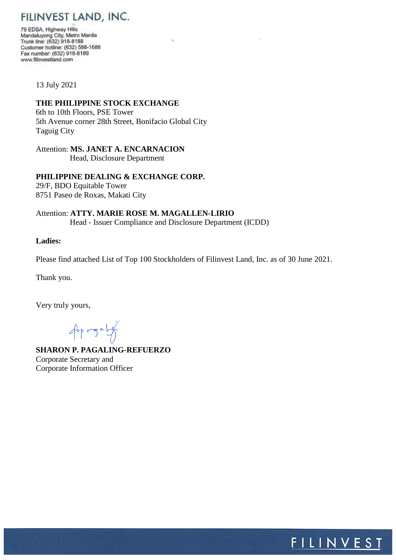FILINVEST LAND, INC.

79 EDSA, Highway Hills Mandaluyong City, Metro Manila Trunk line: (632) 918-8188 Customer hotline: (632) 588-1688 Fax number: (632) 918-8189 www.filinvestland.com

13 July 2021

## **THE PHILIPPINE STOCK EXCHANGE**

6th to 10th Floors, PSE Tower 5th Avenue corner 28th Street, Bonifacio Global City Taguig City

Attention: **MS. JANET A. ENCARNACION**

Head, Disclosure Department

## **PHILIPPINE DEALING & EXCHANGE CORP.**

29/F, BDO Equitable Tower 8751 Paseo de Roxas, Makati City

Attention: **ATTY. MARIE ROSE M. MAGALLEN-LIRIO** Head - Issuer Compliance and Disclosure Department (ICDD)

## **Ladies:**

Please find attached List of Top 100 Stockholders of Filinvest Land, Inc. as of 30 June 2021.

Thank you.

Very truly yours,

 $4900907$ 

**SHARON P. PAGALING-REFUERZO** Corporate Secretary and Corporate Information Officer

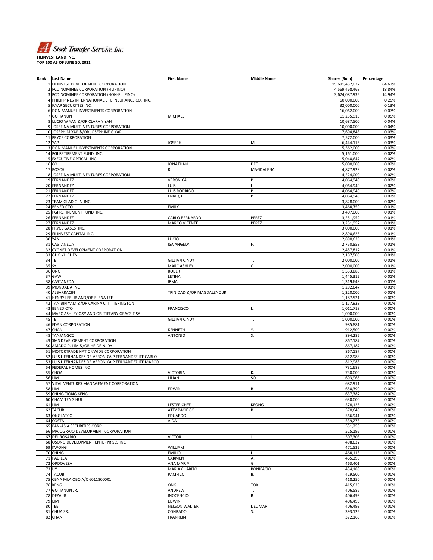

| Rank | <b>Last Name</b>                                      | <b>First Name</b>           | <b>Middle Name</b> | Shares (Sum)   | Percentage |
|------|-------------------------------------------------------|-----------------------------|--------------------|----------------|------------|
|      | 1 FILINVEST DEVELOPMENT CORPORATION                   |                             |                    | 15,681,457,022 | 64.67%     |
|      | 2 PCD NOMINEE CORPORATION (FILIPINO)                  |                             |                    | 4,569,468,468  | 18.84%     |
|      | 3 PCD NOMINEE CORPORATION (NON-FILIPINO)              |                             |                    | 3,624,087,935  | 14.94%     |
|      | 4 PHILIPPINES INTERNATIONAL LIFE INSURANCE CO. INC.   |                             |                    | 60,000,000     | 0.25%      |
|      | 5 F.YAP SECURITIES INC.                               |                             |                    | 32,000,000     | 0.13%      |
|      | 6 DON MANUEL INVESTMENTS CORPORATION                  |                             |                    | 16,062,000     | 0.07%      |
|      |                                                       |                             |                    |                |            |
|      | 7 GOTIANUN                                            | MICHAEL                     |                    | 11,235,913     | 0.05%      |
|      | 8 LUCIO W YAN &/OR CLARA Y YAN                        |                             |                    | 10,687,500     | 0.04%      |
|      | 9 JOSEFINA MULTI-VENTURES CORPORATION                 |                             |                    | 10,000,000     | 0.04%      |
|      | 10 JOSEPH M YAP &/OR JOSEPHINE G YAP                  |                             |                    | 7,694,843      | 0.03%      |
|      | 11 PRYCE CORPORATION                                  |                             |                    | 7,572,000      | 0.03%      |
|      | 12 YAP                                                | JOSEPH                      | M                  | 6,444,115      | 0.03%      |
|      | 13 DON MANUEL INVESTMENTS CORPORATION                 |                             |                    | 5,562,000      | 0.02%      |
|      | 14 PGI RETIREMENT FUND INC.                           |                             |                    |                |            |
|      |                                                       |                             |                    | 5,161,000      | 0.02%      |
|      | 15 EXECUTIVE OPTICAL INC                              |                             |                    | 5,040,647      | 0.02%      |
|      | 16 CO                                                 | JONATHAN                    | DEE                | 5,000,000      | 0.02%      |
|      | 17 BOSCH                                              |                             | MAGDALENA          | 4,877,928      | 0.02%      |
|      | 18 JOSEFINA MULTI-VENTURES CORPORATION                |                             |                    | 4,224,000      | 0.02%      |
|      | 19 FERNANDEZ                                          | <b>VERONICA</b>             |                    | 4,064,940      | 0.02%      |
|      | 20 FERNANDEZ                                          | LUIS                        |                    | 4,064,940      | 0.02%      |
|      | 21 FERNANDEZ                                          | Luis Rodrigo                |                    | 4,064,940      | 0.02%      |
|      | 22 FERNANDEZ                                          | ENRIQUE                     |                    | 4,064,940      | 0.02%      |
|      |                                                       |                             |                    |                |            |
|      | 23 TEAM GLADIOLA INC.                                 |                             |                    | 3,828,000      | 0.02%      |
|      | 24 BENEDICTO                                          | <b>EMILY</b>                |                    | 3,468,750      | 0.01%      |
|      | 25 PGI RETIREMENT FUND INC.                           |                             |                    | 3,407,000      | 0.01%      |
|      | 26 FERNANDEZ                                          | CARLO BERNARDO              | PEREZ              | 3,251,952      | 0.01%      |
|      | 27 FERNANDEZ                                          | <b>MARCO VICENTE</b>        | PEREZ              | 3,251,952      | 0.01%      |
|      | 28 PRYCE GASES INC.                                   |                             |                    | 3,000,000      | 0.01%      |
|      | 29 FILINVEST CAPITAL INC.                             |                             |                    | 2,890,625      | 0.01%      |
|      | <b>30 YAN</b>                                         | LUCIO                       |                    |                | 0.01%      |
|      |                                                       |                             |                    | 2,890,625      |            |
|      | 31 CASTANEDA                                          | <b>ISA ANGELA</b>           | F.                 | 2,750,858      | 0.01%      |
|      | 32 CYGNET DEVELOPMENT CORPORATION                     |                             |                    | 2,457,812      | 0.01%      |
|      | 33 GUO YU CHEN                                        |                             |                    | 2,187,500      | 0.01%      |
|      | 34 TE                                                 | <b>GILLIAN CINDY</b>        | T.                 | 2,000,000      | 0.01%      |
|      | 35 SY                                                 | <b>MARC ASHLEY</b>          | C.                 | 2,000,000      | 0.01%      |
|      | 36 ONG                                                | <b>ROBERT</b>               |                    | 1,553,888      | 0.01%      |
|      | 37 GAW                                                | LETINA                      |                    | 1,445,312      | 0.01%      |
|      | 38 CASTANEDA                                          | <b>IRMA</b>                 |                    | 1,319,648      | 0.01%      |
|      |                                                       |                             |                    |                |            |
|      | 39 MONDALIA INC                                       |                             |                    | 1,292,647      | 0.01%      |
|      | 40 ALBARRACIN                                         | TRINIDAD &/OR MAGDALENO JR. |                    | 1,220,000      | 0.01%      |
|      | 41 HENRY LEE JR AND/OR ELENA LEE                      |                             |                    | 1,187,521      | 0.00%      |
| 42   | TAN BIN YAM &/OR CARINA C. TITTERINGTON               |                             |                    | 1,177,928      | 0.00%      |
|      | 43 BENEDICTO                                          | <b>FRANCISCO</b>            |                    | 1,011,718      | 0.00%      |
| 44   | MARC ASHLEY C.SY AND OR TIFFANY GRACE T.SY            |                             |                    | 1,000,000      | 0.00%      |
| 45   | TE                                                    | <b>GILLIAN CINDY</b>        | т.                 | 1,000,000      | 0.00%      |
|      | <b>46 EDAN CORPORATION</b>                            |                             |                    | 985,881        | 0.00%      |
|      |                                                       |                             |                    |                |            |
|      | 47 CHAN                                               | KENNETH                     | Υ.                 | 912,500        | 0.00%      |
|      | 48 TANJANGCO                                          | <b>ANTONIO</b>              |                    | 894,285        | 0.00%      |
|      | 49 SMS DEVELOPMENT CORPORATION                        |                             |                    | 867,187        | 0.00%      |
|      | 50 AMADO P. LIM &/OR HEIDE N. DY                      |                             |                    | 867,187        | 0.00%      |
|      | 51 MOTORTRADE NATIONWIDE CORPORATION                  |                             |                    | 867.187        | 0.00%      |
|      | 52 LUIS L FERNANDEZ OR VERONICA P FERNANDEZ ITF CARLO |                             |                    | 812,988        | 0.00%      |
|      | 53 LUIS L FERNANDEZ OR VERONICA P FERNANDEZ ITF MARCO |                             |                    | 812,988        | 0.00%      |
|      | 54 FEDERAL HOMES INC                                  |                             |                    | 731,688        | 0.00%      |
|      | 55 CHOA                                               | <b>VICTORIA</b>             | К.                 |                | 0.00%      |
|      |                                                       |                             |                    | 730,000        |            |
|      | <b>56 LIM</b>                                         | LILIAN                      | SO                 | 693,966        | 0.00%      |
|      | 57 VITAL VENTURES MANAGEMENT CORPORATION              |                             |                    | 682,911        | 0.00%      |
|      | <b>58 LIM</b>                                         | EDWIN                       | B                  | 650,390        | 0.00%      |
|      | 59 CHING TIONG KENG                                   |                             |                    | 637,382        | 0.00%      |
|      | 60 CHAM TENG HUI                                      |                             |                    | 630,000        | 0.00%      |
|      | 61 LIM                                                | <b>LESTER CHEE</b>          | KEONG              | 578,125        | 0.00%      |
|      | 62 TACUB                                              | <b>ATTY PACIFICO</b>        | B                  | 570,646        | 0.00%      |
|      |                                                       |                             |                    |                |            |
|      | 63 ONGLATCO                                           | EDUARDO                     |                    | 566,941        | 0.00%      |
|      | 64 COSTA                                              | AIDA                        |                    | 539,278        | 0.00%      |
|      | 65 PAN-ASIA SECURITIES CORP                           |                             |                    | 531,250        | 0.00%      |
|      | 66 MAJOGRAJO DEVELOPMENT CORPORATION                  |                             |                    | 525,195        | 0.00%      |
|      | 67 DEL ROSARIO                                        | <b>VICTOR</b>               |                    | 507,303        | 0.00%      |
|      | 68 OSONG DEVELOPMENT ENTERPRISES INC                  |                             |                    | 498,632        | 0.00%      |
|      | 69 KWONG                                              | WILLIAM                     |                    | 471,532        | 0.00%      |
|      | 70 CHING                                              | <b>EMILIO</b>               |                    | 468,113        | 0.00%      |
|      | 71 PADILLA                                            | CARMEN                      |                    | 465,390        | 0.00%      |
|      |                                                       |                             | А.                 |                |            |
|      | 72 ORDOVEZA                                           | ANA MARIA                   | G                  | 463,401        | 0.00%      |
|      | 73 UY                                                 | <b>MARIA CHARITO</b>        | <b>BONIFACIO</b>   | 434,180        | 0.00%      |
|      | 74 TACUB                                              | <b>PACIFICO</b>             | В.                 | 429,500        | 0.00%      |
|      | 75 CBNA MLA OBO A/C 6011800001                        |                             |                    | 418,250        | 0.00%      |
|      | 76 KENG                                               | ONG                         | <b>TOK</b>         | 415,625        | 0.00%      |
|      | 77 GOTIANUN JR.                                       | ANDREW                      | Т.                 | 406,586        | 0.00%      |
|      | 78 DEZA JR                                            | <b>INOCENCIO</b>            | B                  | 406,493        | 0.00%      |
|      |                                                       |                             |                    |                |            |
|      | 79 LIM                                                | EDWIN                       |                    | 406,493        | 0.00%      |
|      | 80 TEE                                                | <b>NELSON WALTER</b>        | <b>DEL MAR</b>     | 406,493        | 0.00%      |
|      | 81 CHUA SR.                                           | CONRADO                     | S.                 | 393,125        | 0.00%      |
|      | 82 CHAN                                               | <b>FRANKLIN</b>             |                    | 372,166        | 0.00%      |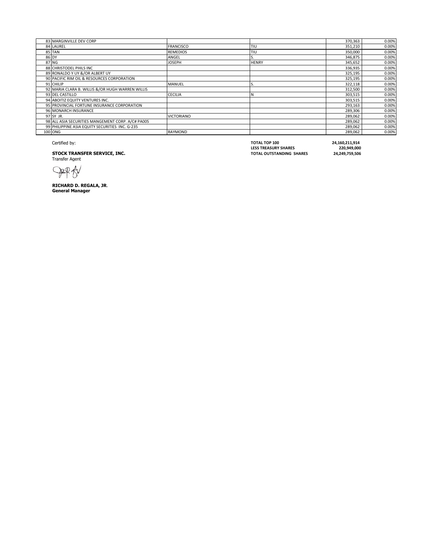| 83 MARGINVILLE DEV CORP                           |                   |              | 370,363 | 0.00% |
|---------------------------------------------------|-------------------|--------------|---------|-------|
| 84 LAUREL                                         | <b>FRANCISCO</b>  | TIU          | 351,210 | 0.00% |
| 85 TAN                                            | <b>REMEDIOS</b>   | TIU          | 350,000 | 0.00% |
| 86 DY                                             | ANGEL             |              | 346.875 | 0.00% |
| 87 NG                                             | <b>JOSEPH</b>     | <b>HENRY</b> | 345,652 | 0.00% |
| 88 CHRISTODEL PHILS INC                           |                   |              | 336,935 | 0.00% |
| 89 RONALDO Y UY &/OR ALBERT UY                    |                   |              | 325,195 | 0.00% |
| 90 PACIFIC RIM OIL & RESOURCES CORPORATION        |                   |              | 325,195 | 0.00% |
| 91 CHILIP                                         | <b>MANUEL</b>     |              | 322,118 | 0.00% |
| 92 MARIA CLARA B. WILLIS &/OR HUGH WARREN WILLIS  |                   |              | 312,500 | 0.00% |
| 93 DEL CASTILLO                                   | <b>CECILIA</b>    |              | 303,515 | 0.00% |
| 94 ABOITIZ EQUITY VENTURES INC.                   |                   |              | 303,515 | 0.00% |
| 95 PROVINCIAL FORTUNE INSURANCE CORPORATION       |                   |              | 293,163 | 0.00% |
| 96 MONARCH INSURANCE                              |                   |              | 289,306 | 0.00% |
| 97 SY JR.                                         | <b>VICTORIANO</b> |              | 289,062 | 0.00% |
| 98 ALL ASIA SECURITIES MANGEMENT CORP. A/C# PA005 |                   |              | 289,062 | 0.00% |
| 99 PHILIPPINE ASIA EQUITY SECURITIES INC. G-235   |                   |              | 289,062 | 0.00% |
| 100 ONG                                           | <b>RAYMOND</b>    |              | 289,062 | 0.00% |

**STOCK TRANSFER SERVICE, INC.**<br>Transfer Agent

DER AV

**RICHARD D. REGALA, JR**. **General Manager**

Certified by: **TOTAL TOP 100 24,160,211,914 LESS TREASURY SHARES 220,949,000 STOCK TRANSFER SERVICE, INC. TOTAL OUTSTANDING SHARES 24,249,759,506**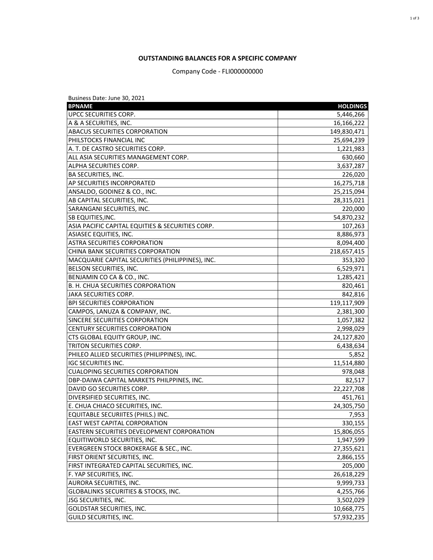## **OUTSTANDING BALANCES FOR A SPECIFIC COMPANY**

Company Code - FLI000000000

| Business Date: June 30, 2021                      |                 |
|---------------------------------------------------|-----------------|
| <b>BPNAME</b>                                     | <b>HOLDINGS</b> |
| UPCC SECURITIES CORP.                             | 5,446,266       |
| A & A SECURITIES, INC.                            | 16,166,222      |
| ABACUS SECURITIES CORPORATION                     | 149,830,471     |
| PHILSTOCKS FINANCIAL INC                          | 25,694,239      |
| A. T. DE CASTRO SECURITIES CORP.                  | 1,221,983       |
| ALL ASIA SECURITIES MANAGEMENT CORP.              | 630,660         |
| ALPHA SECURITIES CORP.                            | 3,637,287       |
| <b>BA SECURITIES, INC.</b>                        | 226,020         |
| AP SECURITIES INCORPORATED                        | 16,275,718      |
| ANSALDO, GODINEZ & CO., INC.                      | 25,215,094      |
| AB CAPITAL SECURITIES, INC.                       | 28,315,021      |
| SARANGANI SECURITIES, INC.                        | 220,000         |
| SB EQUITIES, INC.                                 | 54,870,232      |
| ASIA PACIFIC CAPITAL EQUITIES & SECURITIES CORP.  | 107,263         |
| ASIASEC EQUITIES, INC.                            | 8,886,973       |
| <b>ASTRA SECURITIES CORPORATION</b>               | 8,094,400       |
| CHINA BANK SECURITIES CORPORATION                 | 218,657,415     |
| MACQUARIE CAPITAL SECURITIES (PHILIPPINES), INC.  | 353,320         |
| BELSON SECURITIES, INC.                           | 6,529,971       |
| BENJAMIN CO CA & CO., INC.                        | 1,285,421       |
| <b>B. H. CHUA SECURITIES CORPORATION</b>          | 820,461         |
| JAKA SECURITIES CORP.                             | 842,816         |
| <b>BPI SECURITIES CORPORATION</b>                 | 119,117,909     |
| CAMPOS, LANUZA & COMPANY, INC.                    | 2,381,300       |
| SINCERE SECURITIES CORPORATION                    | 1,057,382       |
| CENTURY SECURITIES CORPORATION                    | 2,998,029       |
| CTS GLOBAL EQUITY GROUP, INC.                     | 24,127,820      |
| TRITON SECURITIES CORP.                           | 6,438,634       |
| PHILEO ALLIED SECURITIES (PHILIPPINES), INC.      | 5,852           |
| <b>IGC SECURITIES INC.</b>                        | 11,514,880      |
| <b>CUALOPING SECURITIES CORPORATION</b>           | 978,048         |
| DBP-DAIWA CAPITAL MARKETS PHILPPINES, INC.        | 82,517          |
| DAVID GO SECURITIES CORP.                         | 22,227,708      |
| DIVERSIFIED SECURITIES, INC.                      | 451,761         |
| E. CHUA CHIACO SECURITIES, INC.                   | 24,305,750      |
| EQUITABLE SECURIITES (PHILS.) INC.                | 7,953           |
| <b>EAST WEST CAPITAL CORPORATION</b>              | 330,155         |
| <b>EASTERN SECURITIES DEVELOPMENT CORPORATION</b> | 15,806,055      |
| EQUITIWORLD SECURITIES, INC.                      | 1,947,599       |
| EVERGREEN STOCK BROKERAGE & SEC., INC.            | 27,355,621      |
| FIRST ORIENT SECURITIES, INC.                     | 2,866,155       |
| FIRST INTEGRATED CAPITAL SECURITIES, INC.         | 205,000         |
| F. YAP SECURITIES, INC.                           | 26,618,229      |
| <b>AURORA SECURITIES, INC.</b>                    | 9,999,733       |
| <b>GLOBALINKS SECURITIES &amp; STOCKS, INC.</b>   | 4,255,766       |
| <b>JSG SECURITIES, INC.</b>                       | 3,502,029       |
| <b>GOLDSTAR SECURITIES, INC.</b>                  | 10,668,775      |
| GUILD SECURITIES, INC.                            | 57,932,235      |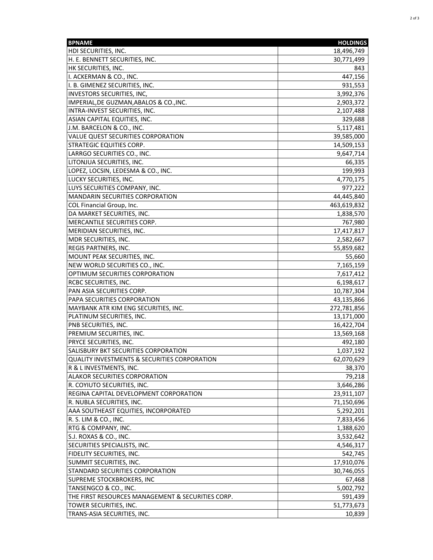| <b>BPNAME</b>                                                       | <b>HOLDINGS</b>           |
|---------------------------------------------------------------------|---------------------------|
| HDI SECURITIES, INC.                                                | 18,496,749                |
| H. E. BENNETT SECURITIES, INC.                                      | 30,771,499                |
| HK SECURITIES, INC.                                                 | 843                       |
| I. ACKERMAN & CO., INC.                                             | 447,156                   |
| I. B. GIMENEZ SECURITIES, INC.                                      | 931,553                   |
| <b>INVESTORS SECURITIES, INC,</b>                                   | 3,992,376                 |
| IMPERIAL, DE GUZMAN, ABALOS & CO., INC.                             | 2,903,372                 |
| INTRA-INVEST SECURITIES, INC.                                       | 2,107,488                 |
| ASIAN CAPITAL EQUITIES, INC.                                        | 329,688                   |
| J.M. BARCELON & CO., INC.                                           | 5,117,481                 |
| VALUE QUEST SECURITIES CORPORATION                                  | 39,585,000                |
| STRATEGIC EQUITIES CORP.                                            | 14,509,153                |
| LARRGO SECURITIES CO., INC.                                         | 9,647,714                 |
| LITONJUA SECURITIES, INC.                                           | 66,335                    |
| LOPEZ, LOCSIN, LEDESMA & CO., INC.                                  | 199,993                   |
| LUCKY SECURITIES, INC.                                              | 4,770,175                 |
| LUYS SECURITIES COMPANY, INC.                                       | 977,222                   |
| <b>MANDARIN SECURITIES CORPORATION</b>                              | 44,445,840                |
| COL Financial Group, Inc.                                           | 463,619,832               |
| DA MARKET SECURITIES, INC.                                          | 1,838,570                 |
| MERCANTILE SECURITIES CORP.                                         | 767,980                   |
| MERIDIAN SECURITIES, INC.                                           |                           |
| MDR SECURITIES, INC.                                                | 17,417,817                |
|                                                                     | 2,582,667<br>55,859,682   |
| <b>REGIS PARTNERS, INC.</b><br>MOUNT PEAK SECURITIES, INC.          | 55,660                    |
| NEW WORLD SECURITIES CO., INC.                                      | 7,165,159                 |
| OPTIMUM SECURITIES CORPORATION                                      |                           |
|                                                                     | 7,617,412                 |
| <b>RCBC SECURITIES, INC.</b><br>PAN ASIA SECURITIES CORP.           | 6,198,617<br>10,787,304   |
|                                                                     |                           |
| PAPA SECURITIES CORPORATION<br>MAYBANK ATR KIM ENG SECURITIES, INC. | 43,135,866<br>272,781,856 |
| PLATINUM SECURITIES, INC.                                           | 13,171,000                |
| PNB SECURITIES, INC.                                                | 16,422,704                |
| PREMIUM SECURITIES, INC.                                            | 13,569,168                |
| PRYCE SECURITIES, INC.                                              |                           |
| SALISBURY BKT SECURITIES CORPORATION                                | 492,180                   |
|                                                                     | 1,037,192                 |
| <b>QUALITY INVESTMENTS &amp; SECURITIES CORPORATION</b>             | 62,070,629                |
| R & L INVESTMENTS, INC.                                             | 38,370                    |
| ALAKOR SECURITIES CORPORATION                                       | 79,218                    |
| R. COYIUTO SECURITIES, INC.                                         | 3,646,286                 |
| REGINA CAPITAL DEVELOPMENT CORPORATION                              | 23,911,107                |
| R. NUBLA SECURITIES, INC.                                           | 71,150,696                |
| AAA SOUTHEAST EQUITIES, INCORPORATED                                | 5,292,201                 |
| R. S. LIM & CO., INC.                                               | 7,833,456                 |
| RTG & COMPANY, INC.                                                 | 1,388,620                 |
| S.J. ROXAS & CO., INC.                                              | 3,532,642                 |
| SECURITIES SPECIALISTS, INC.                                        | 4,546,317                 |
| FIDELITY SECURITIES, INC.                                           | 542,745                   |
| SUMMIT SECURITIES, INC.                                             | 17,910,076                |
| STANDARD SECURITIES CORPORATION                                     | 30,746,055                |
| SUPREME STOCKBROKERS, INC                                           | 67,468                    |
| TANSENGCO & CO., INC.                                               | 5,002,792                 |
| THE FIRST RESOURCES MANAGEMENT & SECURITIES CORP.                   | 591,439                   |
| TOWER SECURITIES, INC.                                              | 51,773,673                |
| TRANS-ASIA SECURITIES, INC.                                         | 10,839                    |